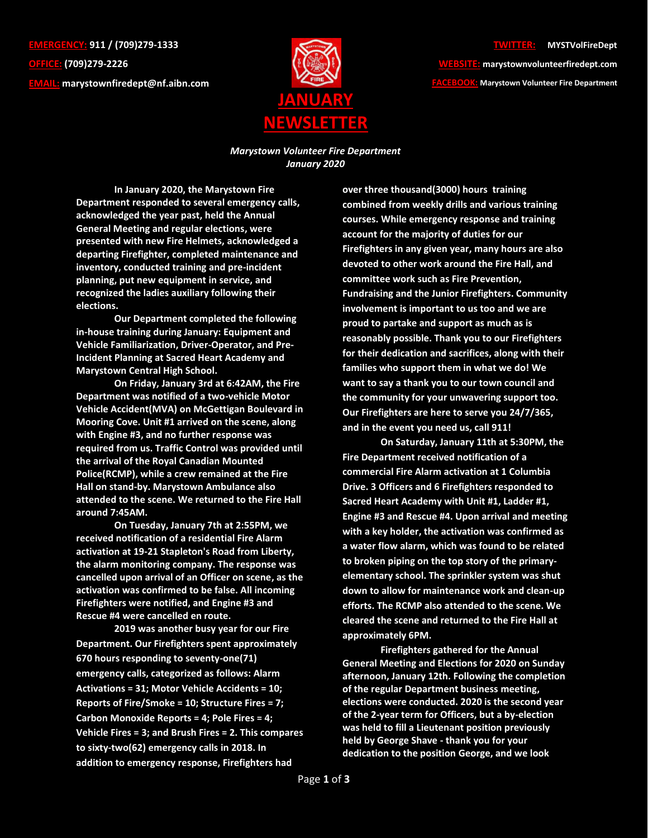**EMERGENCY: 911 / (709)279-1333 OFFICE: (709)279-2226 EMAIL: [marystownfiredept@nf.aibn.com](mailto:marystownfiredept@nf.aibn.com)**



## **TWITTER: @MYSTVolFireDept**

**WEBSITE: marystownvolunteerfiredept.com FACEBOOK: Marystown Volunteer Fire Department**

*Marystown Volunteer Fire Department January 2020*

**In January 2020, the Marystown Fire Department responded to several emergency calls, acknowledged the year past, held the Annual General Meeting and regular elections, were presented with new Fire Helmets, acknowledged a departing Firefighter, completed maintenance and inventory, conducted training and pre-incident planning, put new equipment in service, and recognized the ladies auxiliary following their elections.**

**Our Department completed the following in-house training during January: Equipment and Vehicle Familiarization, Driver-Operator, and Pre-Incident Planning at Sacred Heart Academy and Marystown Central High School.**

**On Friday, January 3rd at 6:42AM, the Fire Department was notified of a two-vehicle Motor Vehicle Accident(MVA) on McGettigan Boulevard in Mooring Cove. Unit #1 arrived on the scene, along with Engine #3, and no further response was required from us. Traffic Control was provided until the arrival of the Royal Canadian Mounted Police(RCMP), while a crew remained at the Fire Hall on stand-by. Marystown Ambulance also attended to the scene. We returned to the Fire Hall around 7:45AM.**

**On Tuesday, January 7th at 2:55PM, we received notification of a residential Fire Alarm activation at 19-21 Stapleton's Road from Liberty, the alarm monitoring company. The response was cancelled upon arrival of an Officer on scene, as the activation was confirmed to be false. All incoming Firefighters were notified, and Engine #3 and Rescue #4 were cancelled en route.**

**2019 was another busy year for our Fire Department. Our Firefighters spent approximately 670 hours responding to seventy-one(71) emergency calls, categorized as follows: Alarm Activations = 31; Motor Vehicle Accidents = 10; Reports of Fire/Smoke = 10; Structure Fires = 7; Carbon Monoxide Reports = 4; Pole Fires = 4; Vehicle Fires = 3; and Brush Fires = 2. This compares to sixty-two(62) emergency calls in 2018. In addition to emergency response, Firefighters had** 

**over three thousand(3000) hours training combined from weekly drills and various training courses. While emergency response and training account for the majority of duties for our Firefighters in any given year, many hours are also devoted to other work around the Fire Hall, and committee work such as Fire Prevention, Fundraising and the Junior Firefighters. Community involvement is important to us too and we are proud to partake and support as much as is reasonably possible. Thank you to our Firefighters for their dedication and sacrifices, along with their families who support them in what we do! We want to say a thank you to our town council and the community for your unwavering support too. Our Firefighters are here to serve you 24/7/365, and in the event you need us, call 911!**

**On Saturday, January 11th at 5:30PM, the Fire Department received notification of a commercial Fire Alarm activation at 1 Columbia Drive. 3 Officers and 6 Firefighters responded to Sacred Heart Academy with Unit #1, Ladder #1, Engine #3 and Rescue #4. Upon arrival and meeting with a key holder, the activation was confirmed as a water flow alarm, which was found to be related to broken piping on the top story of the primaryelementary school. The sprinkler system was shut down to allow for maintenance work and clean-up efforts. The RCMP also attended to the scene. We cleared the scene and returned to the Fire Hall at approximately 6PM.**

**Firefighters gathered for the Annual General Meeting and Elections for 2020 on Sunday afternoon, January 12th. Following the completion of the regular Department business meeting, elections were conducted. 2020 is the second year of the 2-year term for Officers, but a by-election was held to fill a Lieutenant position previously held by George Shave - thank you for your dedication to the position George, and we look**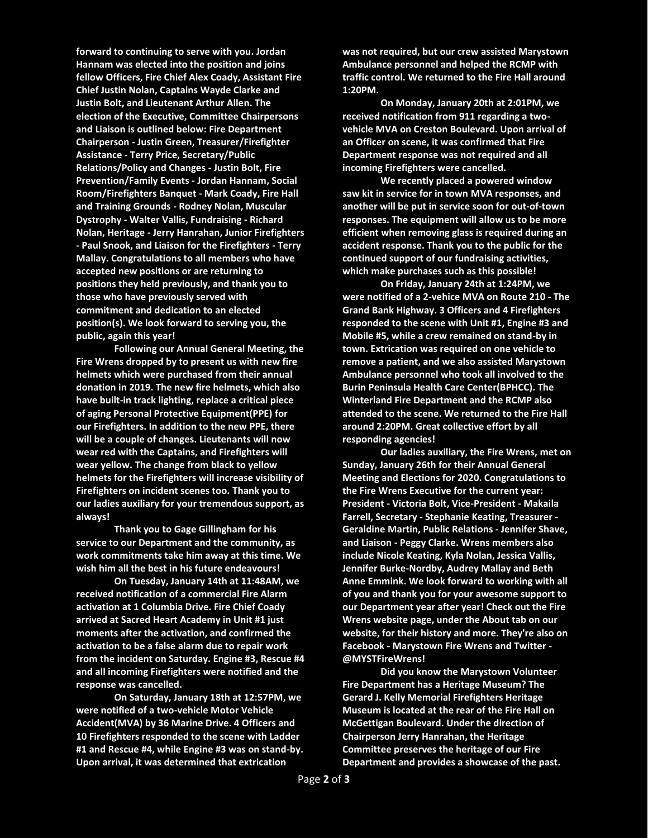**forward to continuing to serve with you. Jordan Hannam was elected into the position and joins fellow Officers, Fire Chief Alex Coady, Assistant Fire Chief Justin Nolan, Captains Wayde Clarke and Justin Bolt, and Lieutenant Arthur Allen. The election of the Executive, Committee Chairpersons and Liaison is outlined below: Fire Department Chairperson - Justin Green, Treasurer/Firefighter Assistance - Terry Price, Secretary/Public Relations/Policy and Changes - Justin Bolt, Fire Prevention/Family Events - Jordan Hannam, Social Room/Firefighters Banquet - Mark Coady, Fire Hall and Training Grounds - Rodney Nolan, Muscular Dystrophy - Walter Vallis, Fundraising - Richard Nolan, Heritage - Jerry Hanrahan, Junior Firefighters - Paul Snook, and Liaison for the Firefighters - Terry Mallay. Congratulations to all members who have accepted new positions or are returning to positions they held previously, and thank you to those who have previously served with commitment and dedication to an elected position(s). We look forward to serving you, the public, again this year!**

**Following our Annual General Meeting, the Fire Wrens dropped by to present us with new fire helmets which were purchased from their annual donation in 2019. The new fire helmets, which also have built-in track lighting, replace a critical piece of aging Personal Protective Equipment(PPE) for our Firefighters. In addition to the new PPE, there will be a couple of changes. Lieutenants will now wear red with the Captains, and Firefighters will wear yellow. The change from black to yellow helmets for the Firefighters will increase visibility of Firefighters on incident scenes too. Thank you to our ladies auxiliary for your tremendous support, as always!**

**Thank you to Gage Gillingham for his service to our Department and the community, as work commitments take him away at this time. We wish him all the best in his future endeavours!**

**On Tuesday, January 14th at 11:48AM, we received notification of a commercial Fire Alarm activation at 1 Columbia Drive. Fire Chief Coady arrived at Sacred Heart Academy in Unit #1 just moments after the activation, and confirmed the activation to be a false alarm due to repair work from the incident on Saturday. Engine #3, Rescue #4 and all incoming Firefighters were notified and the response was cancelled.**

**On Saturday, January 18th at 12:57PM, we were notified of a two-vehicle Motor Vehicle Accident(MVA) by 36 Marine Drive. 4 Officers and 10 Firefighters responded to the scene with Ladder #1 and Rescue #4, while Engine #3 was on stand-by. Upon arrival, it was determined that extrication** 

**was not required, but our crew assisted Marystown Ambulance personnel and helped the RCMP with traffic control. We returned to the Fire Hall around 1:20PM.**

**On Monday, January 20th at 2:01PM, we received notification from 911 regarding a twovehicle MVA on Creston Boulevard. Upon arrival of an Officer on scene, it was confirmed that Fire Department response was not required and all incoming Firefighters were cancelled.**

**We recently placed a powered window saw kit in service for in town MVA responses, and another will be put in service soon for out-of-town responses. The equipment will allow us to be more efficient when removing glass is required during an accident response. Thank you to the public for the continued support of our fundraising activities, which make purchases such as this possible!**

**On Friday, January 24th at 1:24PM, we were notified of a 2-vehice MVA on Route 210 - The Grand Bank Highway. 3 Officers and 4 Firefighters responded to the scene with Unit #1, Engine #3 and Mobile #5, while a crew remained on stand-by in town. Extrication was required on one vehicle to remove a patient, and we also assisted Marystown Ambulance personnel who took all involved to the Burin Peninsula Health Care Center(BPHCC). The Winterland Fire Department and the RCMP also attended to the scene. We returned to the Fire Hall around 2:20PM. Great collective effort by all responding agencies!**

**Our ladies auxiliary, the Fire Wrens, met on Sunday, January 26th for their Annual General Meeting and Elections for 2020. Congratulations to the Fire Wrens Executive for the current year: President - Victoria Bolt, Vice-President - Makaila Farrell, Secretary - Stephanie Keating, Treasurer - Geraldine Martin, Public Relations - Jennifer Shave, and Liaison - Peggy Clarke. Wrens members also include Nicole Keating, Kyla Nolan, Jessica Vallis, Jennifer Burke-Nordby, Audrey Mallay and Beth Anne Emmink. We look forward to working with all of you and thank you for your awesome support to our Department year after year! Check out the Fire Wrens website page, under the About tab on our website, for their history and more. They're also on Facebook - Marystown Fire Wrens and Twitter - @MYSTFireWrens!**

**Did you know the Marystown Volunteer Fire Department has a Heritage Museum? The Gerard J. Kelly Memorial Firefighters Heritage Museum is located at the rear of the Fire Hall on McGettigan Boulevard. Under the direction of Chairperson Jerry Hanrahan, the Heritage Committee preserves the heritage of our Fire Department and provides a showcase of the past.**